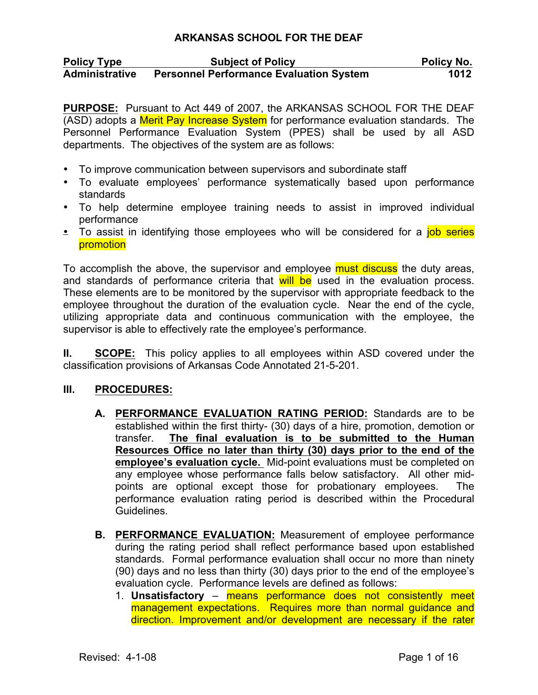| <b>Policy Type</b>    | <b>Subject of Policy</b>                       | Policy No. |
|-----------------------|------------------------------------------------|------------|
| <b>Administrative</b> | <b>Personnel Performance Evaluation System</b> | 1012       |

**PURPOSE:** Pursuant to Act 449 of 2007, the ARKANSAS SCHOOL FOR THE DEAF (ASD) adopts a Merit Pay Increase System for performance evaluation standards. The Personnel Performance Evaluation System (PPES) shall be used by all ASD departments. The objectives of the system are as follows:

- To improve communication between supervisors and subordinate staff
- To evaluate employees' performance systematically based upon performance standards
- To help determine employee training needs to assist in improved individual performance
- To assist in identifying those employees who will be considered for a *job series* promotion

To accomplish the above, the supervisor and employee must discuss the duty areas, and standards of performance criteria that will be used in the evaluation process. These elements are to be monitored by the supervisor with appropriate feedback to the employee throughout the duration of the evaluation cycle. Near the end of the cycle, utilizing appropriate data and continuous communication with the employee, the supervisor is able to effectively rate the employee's performance.

**II. SCOPE:** This policy applies to all employees within ASD covered under the classification provisions of Arkansas Code Annotated 21-5-201.

### **III. PROCEDURES:**

- **A. PERFORMANCE EVALUATION RATING PERIOD:** Standards are to be established within the first thirty- (30) days of a hire, promotion, demotion or transfer. **The final evaluation is to be submitted to the Human Resources Office no later than thirty (30) days prior to the end of the employee's evaluation cycle.** Mid-point evaluations must be completed on any employee whose performance falls below satisfactory. All other midpoints are optional except those for probationary employees. The performance evaluation rating period is described within the Procedural Guidelines.
- **B. PERFORMANCE EVALUATION:** Measurement of employee performance during the rating period shall reflect performance based upon established standards. Formal performance evaluation shall occur no more than ninety (90) days and no less than thirty (30) days prior to the end of the employee's evaluation cycle. Performance levels are defined as follows:
	- 1. **Unsatisfactory**  means performance does not consistently meet management expectations. Requires more than normal guidance and direction. Improvement and/or development are necessary if the rater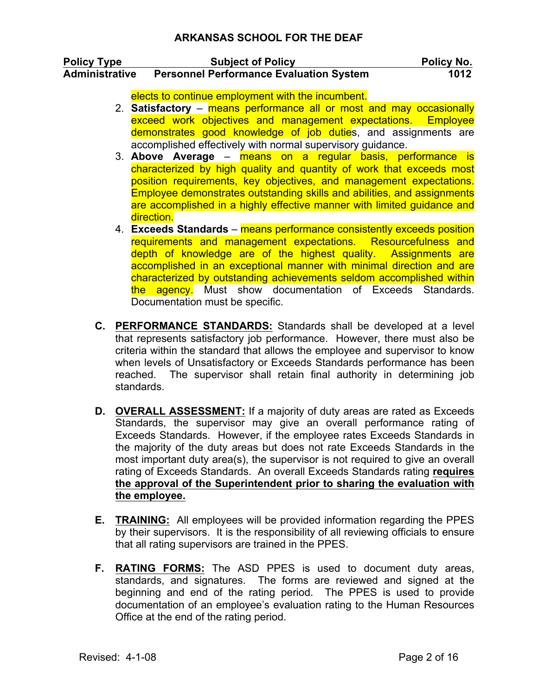| <b>Policy Type</b>    | <b>Subject of Policy</b>                       | Policy No. |
|-----------------------|------------------------------------------------|------------|
| <b>Administrative</b> | <b>Personnel Performance Evaluation System</b> | 1012       |

elects to continue employment with the incumbent.

- 2. **Satisfactory**  means performance all or most and may occasionally exceed work objectives and management expectations. Employee demonstrates good knowledge of job duties, and assignments are accomplished effectively with normal supervisory guidance.
- 3. **Above Average**  means on a regular basis, performance is characterized by high quality and quantity of work that exceeds most position requirements, key objectives, and management expectations. Employee demonstrates outstanding skills and abilities, and assignments are accomplished in a highly effective manner with limited guidance and direction.
- 4. **Exceeds Standards**  means performance consistently exceeds position requirements and management expectations. Resourcefulness and depth of knowledge are of the highest quality. Assignments are accomplished in an exceptional manner with minimal direction and are characterized by outstanding achievements seldom accomplished within the agency. Must show documentation of Exceeds Standards. Documentation must be specific.
- **C. PERFORMANCE STANDARDS:** Standards shall be developed at a level that represents satisfactory job performance. However, there must also be criteria within the standard that allows the employee and supervisor to know when levels of Unsatisfactory or Exceeds Standards performance has been reached. The supervisor shall retain final authority in determining job standards.
- **D. OVERALL ASSESSMENT:** If a majority of duty areas are rated as Exceeds Standards, the supervisor may give an overall performance rating of Exceeds Standards. However, if the employee rates Exceeds Standards in the majority of the duty areas but does not rate Exceeds Standards in the most important duty area(s), the supervisor is not required to give an overall rating of Exceeds Standards. An overall Exceeds Standards rating **requires the approval of the Superintendent prior to sharing the evaluation with the employee.**
- **E. TRAINING:** All employees will be provided information regarding the PPES by their supervisors. It is the responsibility of all reviewing officials to ensure that all rating supervisors are trained in the PPES.
- **F. RATING FORMS:** The ASD PPES is used to document duty areas, standards, and signatures. The forms are reviewed and signed at the beginning and end of the rating period. The PPES is used to provide documentation of an employee's evaluation rating to the Human Resources Office at the end of the rating period.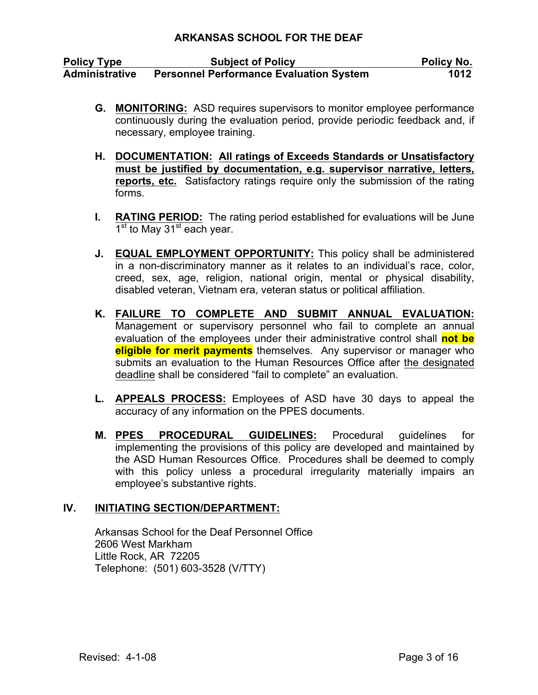| <b>Policy Type</b>    | <b>Subject of Policy</b>                       | <b>Policy No.</b> |
|-----------------------|------------------------------------------------|-------------------|
| <b>Administrative</b> | <b>Personnel Performance Evaluation System</b> | 1012              |

- **G. MONITORING:** ASD requires supervisors to monitor employee performance continuously during the evaluation period, provide periodic feedback and, if necessary, employee training.
- **H. DOCUMENTATION: All ratings of Exceeds Standards or Unsatisfactory must be justified by documentation, e.g. supervisor narrative, letters, reports, etc.** Satisfactory ratings require only the submission of the rating forms.
- **I. RATING PERIOD:** The rating period established for evaluations will be June  $1<sup>st</sup>$  to May 31<sup>st</sup> each year.
- **J. EQUAL EMPLOYMENT OPPORTUNITY:** This policy shall be administered in a non-discriminatory manner as it relates to an individual's race, color, creed, sex, age, religion, national origin, mental or physical disability, disabled veteran, Vietnam era, veteran status or political affiliation.
- **K. FAILURE TO COMPLETE AND SUBMIT ANNUAL EVALUATION:** Management or supervisory personnel who fail to complete an annual evaluation of the employees under their administrative control shall **not be eligible for merit payments** themselves. Any supervisor or manager who submits an evaluation to the Human Resources Office after the designated deadline shall be considered "fail to complete" an evaluation.
- **L. APPEALS PROCESS:** Employees of ASD have 30 days to appeal the accuracy of any information on the PPES documents.
- **M. PPES PROCEDURAL GUIDELINES:** Procedural guidelines for implementing the provisions of this policy are developed and maintained by the ASD Human Resources Office. Procedures shall be deemed to comply with this policy unless a procedural irregularity materially impairs an employee's substantive rights.

### **IV. INITIATING SECTION/DEPARTMENT:**

Arkansas School for the Deaf Personnel Office 2606 West Markham Little Rock, AR 72205 Telephone: (501) 603-3528 (V/TTY)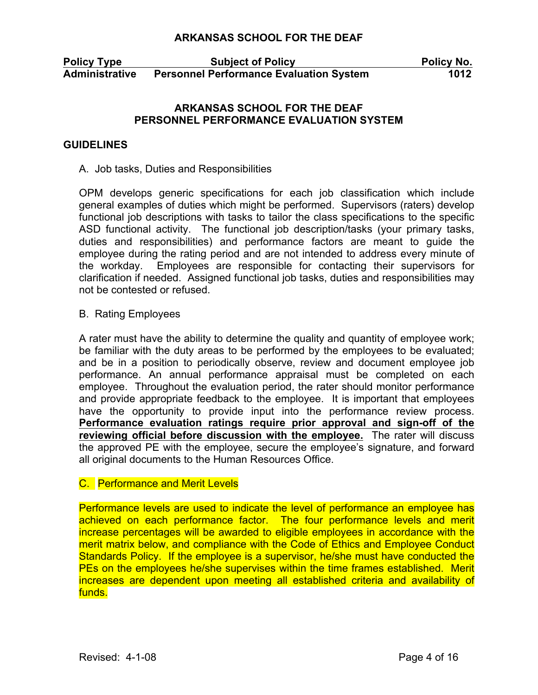**Policy Type Subject of Policy Policy No. Administrative Personnel Performance Evaluation System 1012**

### **ARKANSAS SCHOOL FOR THE DEAF PERSONNEL PERFORMANCE EVALUATION SYSTEM**

#### **GUIDELINES**

#### A. Job tasks, Duties and Responsibilities

OPM develops generic specifications for each job classification which include general examples of duties which might be performed. Supervisors (raters) develop functional job descriptions with tasks to tailor the class specifications to the specific ASD functional activity. The functional job description/tasks (your primary tasks, duties and responsibilities) and performance factors are meant to guide the employee during the rating period and are not intended to address every minute of the workday. Employees are responsible for contacting their supervisors for clarification if needed. Assigned functional job tasks, duties and responsibilities may not be contested or refused.

#### B. Rating Employees

A rater must have the ability to determine the quality and quantity of employee work; be familiar with the duty areas to be performed by the employees to be evaluated; and be in a position to periodically observe, review and document employee job performance. An annual performance appraisal must be completed on each employee. Throughout the evaluation period, the rater should monitor performance and provide appropriate feedback to the employee. It is important that employees have the opportunity to provide input into the performance review process. **Performance evaluation ratings require prior approval and sign-off of the reviewing official before discussion with the employee.** The rater will discuss the approved PE with the employee, secure the employee's signature, and forward all original documents to the Human Resources Office.

#### C. Performance and Merit Levels

Performance levels are used to indicate the level of performance an employee has achieved on each performance factor. The four performance levels and merit increase percentages will be awarded to eligible employees in accordance with the merit matrix below, and compliance with the Code of Ethics and Employee Conduct Standards Policy. If the employee is a supervisor, he/she must have conducted the PEs on the employees he/she supervises within the time frames established. Merit increases are dependent upon meeting all established criteria and availability of funds.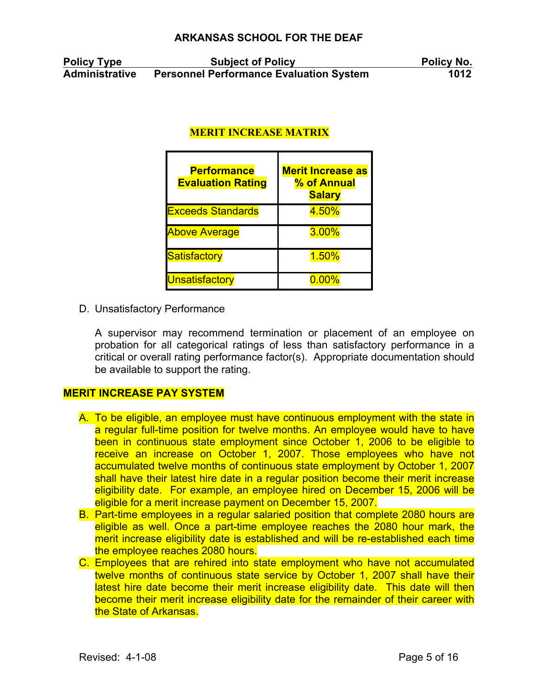| <b>Policy Type</b>    | <b>Subject of Policy</b>                       | Policy No. |
|-----------------------|------------------------------------------------|------------|
| <b>Administrative</b> | <b>Personnel Performance Evaluation System</b> | 1012       |

# **MERIT INCREASE MATRIX**

| <b>Performance</b><br><b>Evaluation Rating</b> | <b>Merit Increase as</b><br>% of Annual<br><b>Salary</b> |
|------------------------------------------------|----------------------------------------------------------|
| <b>Exceeds Standards</b>                       | 4.50%                                                    |
| <b>Above Average</b>                           | <b>3.00%</b>                                             |
| Satisfactory                                   | 1.50%                                                    |
| Unsatisfactory                                 | $0.00\%$                                                 |

D. Unsatisfactory Performance

A supervisor may recommend termination or placement of an employee on probation for all categorical ratings of less than satisfactory performance in a critical or overall rating performance factor(s). Appropriate documentation should be available to support the rating.

#### **MERIT INCREASE PAY SYSTEM**

- A. To be eligible, an employee must have continuous employment with the state in a regular full-time position for twelve months. An employee would have to have been in continuous state employment since October 1, 2006 to be eligible to receive an increase on October 1, 2007. Those employees who have not accumulated twelve months of continuous state employment by October 1, 2007 shall have their latest hire date in a regular position become their merit increase eligibility date. For example, an employee hired on December 15, 2006 will be eligible for a merit increase payment on December 15, 2007.
- B. Part-time employees in a regular salaried position that complete 2080 hours are eligible as well. Once a part-time employee reaches the 2080 hour mark, the merit increase eligibility date is established and will be re-established each time the employee reaches 2080 hours.
- C. Employees that are rehired into state employment who have not accumulated twelve months of continuous state service by October 1, 2007 shall have their latest hire date become their merit increase eligibility date. This date will then become their merit increase eligibility date for the remainder of their career with the State of Arkansas.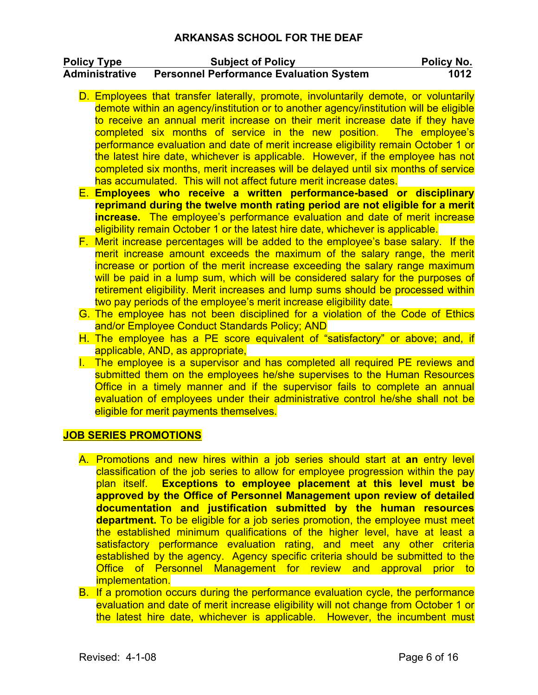| <b>Policy Type</b>    | <b>Subject of Policy</b>                       | Policy No. |
|-----------------------|------------------------------------------------|------------|
| <b>Administrative</b> | <b>Personnel Performance Evaluation System</b> | 1012       |

- D. Employees that transfer laterally, promote, involuntarily demote, or voluntarily demote within an agency/institution or to another agency/institution will be eligible to receive an annual merit increase on their merit increase date if they have completed six months of service in the new position. The employee's performance evaluation and date of merit increase eligibility remain October 1 or the latest hire date, whichever is applicable. However, if the employee has not completed six months, merit increases will be delayed until six months of service has accumulated. This will not affect future merit increase dates.
- E. **Employees who receive a written performance-based or disciplinary reprimand during the twelve month rating period are not eligible for a merit increase.** The employee's performance evaluation and date of merit increase eligibility remain October 1 or the latest hire date, whichever is applicable.
- F. Merit increase percentages will be added to the employee's base salary. If the merit increase amount exceeds the maximum of the salary range, the merit increase or portion of the merit increase exceeding the salary range maximum will be paid in a lump sum, which will be considered salary for the purposes of retirement eligibility. Merit increases and lump sums should be processed within two pay periods of the employee's merit increase eligibility date.
- G. The employee has not been disciplined for a violation of the Code of Ethics and/or Employee Conduct Standards Policy; AND
- H. The employee has a PE score equivalent of "satisfactory" or above; and, if applicable, AND, as appropriate,
- I. The employee is a supervisor and has completed all required PE reviews and submitted them on the employees he/she supervises to the Human Resources Office in a timely manner and if the supervisor fails to complete an annual evaluation of employees under their administrative control he/she shall not be eligible for merit payments themselves.

### **JOB SERIES PROMOTIONS**

- A. Promotions and new hires within a job series should start at **an** entry level classification of the job series to allow for employee progression within the pay plan itself. **Exceptions to employee placement at this level must be approved by the Office of Personnel Management upon review of detailed documentation and justification submitted by the human resources department.** To be eligible for a job series promotion, the employee must meet the established minimum qualifications of the higher level, have at least a satisfactory performance evaluation rating, and meet any other criteria established by the agency. Agency specific criteria should be submitted to the Office of Personnel Management for review and approval prior to implementation.
- B. If a promotion occurs during the performance evaluation cycle, the performance evaluation and date of merit increase eligibility will not change from October 1 or the latest hire date, whichever is applicable. However, the incumbent must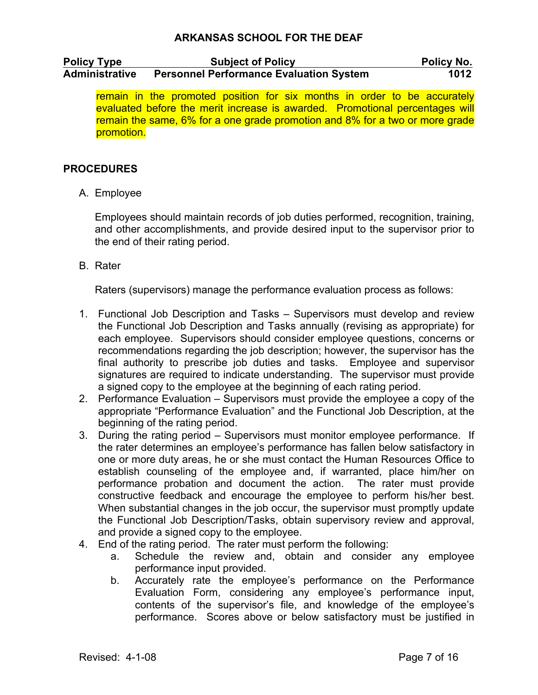| <b>Policy Type</b>    | <b>Subject of Policy</b>                       | <b>Policy No.</b> |
|-----------------------|------------------------------------------------|-------------------|
| <b>Administrative</b> | <b>Personnel Performance Evaluation System</b> | 1012              |

remain in the promoted position for six months in order to be accurately evaluated before the merit increase is awarded. Promotional percentages will remain the same, 6% for a one grade promotion and 8% for a two or more grade promotion.

## **PROCEDURES**

A. Employee

Employees should maintain records of job duties performed, recognition, training, and other accomplishments, and provide desired input to the supervisor prior to the end of their rating period.

B. Rater

Raters (supervisors) manage the performance evaluation process as follows:

- 1. Functional Job Description and Tasks Supervisors must develop and review the Functional Job Description and Tasks annually (revising as appropriate) for each employee. Supervisors should consider employee questions, concerns or recommendations regarding the job description; however, the supervisor has the final authority to prescribe job duties and tasks. Employee and supervisor signatures are required to indicate understanding. The supervisor must provide a signed copy to the employee at the beginning of each rating period.
- 2. Performance Evaluation Supervisors must provide the employee a copy of the appropriate "Performance Evaluation" and the Functional Job Description, at the beginning of the rating period.
- 3. During the rating period Supervisors must monitor employee performance. If the rater determines an employee's performance has fallen below satisfactory in one or more duty areas, he or she must contact the Human Resources Office to establish counseling of the employee and, if warranted, place him/her on performance probation and document the action. The rater must provide constructive feedback and encourage the employee to perform his/her best. When substantial changes in the job occur, the supervisor must promptly update the Functional Job Description/Tasks, obtain supervisory review and approval, and provide a signed copy to the employee.
- 4. End of the rating period. The rater must perform the following:
	- a. Schedule the review and, obtain and consider any employee performance input provided.
	- b. Accurately rate the employee's performance on the Performance Evaluation Form, considering any employee's performance input, contents of the supervisor's file, and knowledge of the employee's performance. Scores above or below satisfactory must be justified in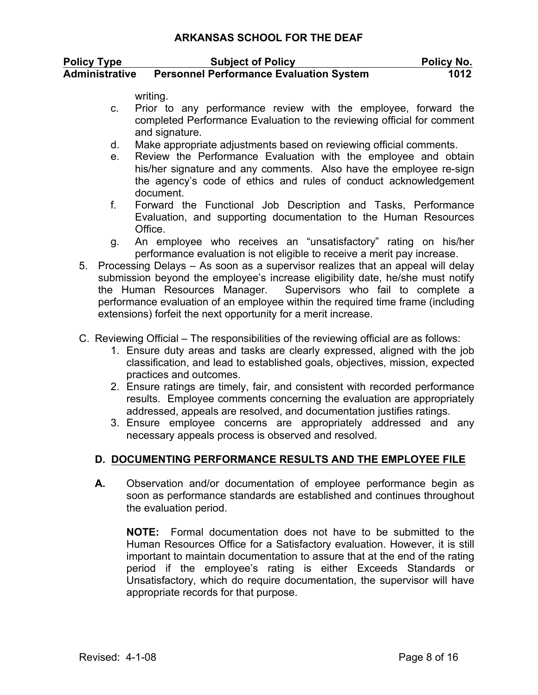| <b>Policy Type</b>    | <b>Subject of Policy</b>                       | <b>Policy No.</b> |
|-----------------------|------------------------------------------------|-------------------|
| <b>Administrative</b> | <b>Personnel Performance Evaluation System</b> | 1012              |

writing.

- c. Prior to any performance review with the employee, forward the completed Performance Evaluation to the reviewing official for comment and signature.
- d. Make appropriate adjustments based on reviewing official comments.
- e. Review the Performance Evaluation with the employee and obtain his/her signature and any comments. Also have the employee re-sign the agency's code of ethics and rules of conduct acknowledgement document.
- f. Forward the Functional Job Description and Tasks, Performance Evaluation, and supporting documentation to the Human Resources Office.
- g. An employee who receives an "unsatisfactory" rating on his/her performance evaluation is not eligible to receive a merit pay increase.
- 5. Processing Delays As soon as a supervisor realizes that an appeal will delay submission beyond the employee's increase eligibility date, he/she must notify the Human Resources Manager. Supervisors who fail to complete a performance evaluation of an employee within the required time frame (including extensions) forfeit the next opportunity for a merit increase.
- C. Reviewing Official The responsibilities of the reviewing official are as follows:
	- 1. Ensure duty areas and tasks are clearly expressed, aligned with the job classification, and lead to established goals, objectives, mission, expected practices and outcomes.
	- 2. Ensure ratings are timely, fair, and consistent with recorded performance results. Employee comments concerning the evaluation are appropriately addressed, appeals are resolved, and documentation justifies ratings.
	- 3. Ensure employee concerns are appropriately addressed and any necessary appeals process is observed and resolved.

# **D. DOCUMENTING PERFORMANCE RESULTS AND THE EMPLOYEE FILE**

**A.** Observation and/or documentation of employee performance begin as soon as performance standards are established and continues throughout the evaluation period.

**NOTE:** Formal documentation does not have to be submitted to the Human Resources Office for a Satisfactory evaluation. However, it is still important to maintain documentation to assure that at the end of the rating period if the employee's rating is either Exceeds Standards or Unsatisfactory, which do require documentation, the supervisor will have appropriate records for that purpose.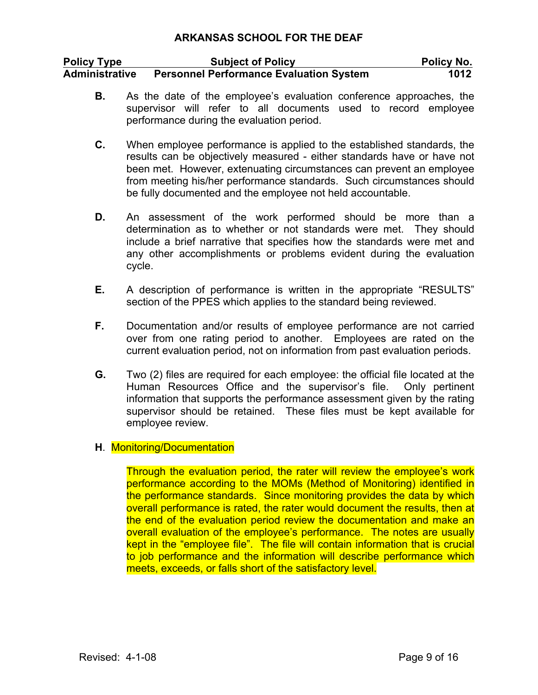| <b>Policy Type</b>    | <b>Subject of Policy</b>                       | <b>Policy No.</b> |
|-----------------------|------------------------------------------------|-------------------|
| <b>Administrative</b> | <b>Personnel Performance Evaluation System</b> | 1012              |

- **B.** As the date of the employee's evaluation conference approaches, the supervisor will refer to all documents used to record employee performance during the evaluation period.
- **C.** When employee performance is applied to the established standards, the results can be objectively measured - either standards have or have not been met. However, extenuating circumstances can prevent an employee from meeting his/her performance standards. Such circumstances should be fully documented and the employee not held accountable.
- **D.** An assessment of the work performed should be more than a determination as to whether or not standards were met. They should include a brief narrative that specifies how the standards were met and any other accomplishments or problems evident during the evaluation cycle.
- **E.** A description of performance is written in the appropriate "RESULTS" section of the PPES which applies to the standard being reviewed.
- **F.** Documentation and/or results of employee performance are not carried over from one rating period to another. Employees are rated on the current evaluation period, not on information from past evaluation periods.
- **G.** Two (2) files are required for each employee: the official file located at the Human Resources Office and the supervisor's file. Only pertinent information that supports the performance assessment given by the rating supervisor should be retained. These files must be kept available for employee review.

### **H**. Monitoring/Documentation

Through the evaluation period, the rater will review the employee's work performance according to the MOMs (Method of Monitoring) identified in the performance standards. Since monitoring provides the data by which overall performance is rated, the rater would document the results, then at the end of the evaluation period review the documentation and make an overall evaluation of the employee's performance. The notes are usually kept in the "employee file". The file will contain information that is crucial to job performance and the information will describe performance which meets, exceeds, or falls short of the satisfactory level.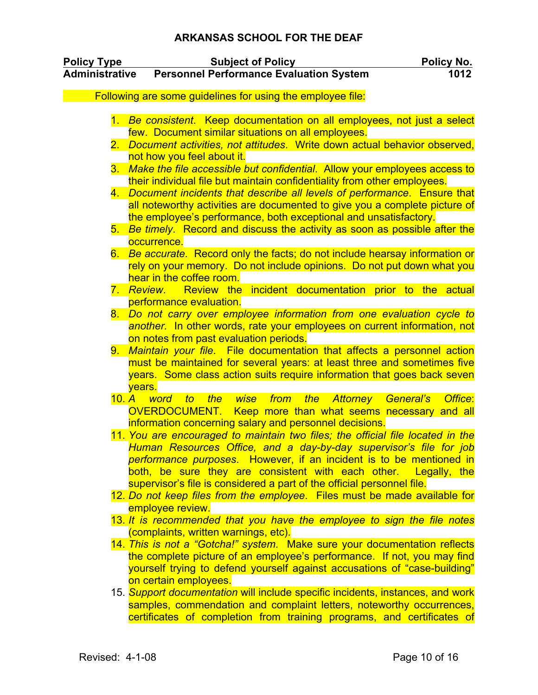| <b>Policy Type</b>    | <b>Subject of Policy</b>                                                                                                                               | <u>Policy No.</u> |
|-----------------------|--------------------------------------------------------------------------------------------------------------------------------------------------------|-------------------|
| <b>Administrative</b> | <b>Personnel Performance Evaluation System</b>                                                                                                         | 1012              |
|                       | Following are some guidelines for using the employee file:                                                                                             |                   |
|                       |                                                                                                                                                        |                   |
|                       | 1. Be consistent. Keep documentation on all employees, not just a select                                                                               |                   |
|                       | few. Document similar situations on all employees.                                                                                                     |                   |
|                       | 2. Document activities, not attitudes. Write down actual behavior observed,                                                                            |                   |
|                       | not how you feel about it.                                                                                                                             |                   |
| 3.                    | Make the file accessible but confidential. Allow your employees access to                                                                              |                   |
|                       | their individual file but maintain confidentiality from other employees.<br>4. Document incidents that describe all levels of performance. Ensure that |                   |
|                       | all noteworthy activities are documented to give you a complete picture of                                                                             |                   |
|                       | the employee's performance, both exceptional and unsatisfactory.                                                                                       |                   |
|                       | 5. Be timely. Record and discuss the activity as soon as possible after the                                                                            |                   |
|                       | occurrence.                                                                                                                                            |                   |
|                       | 6. Be accurate. Record only the facts, do not include hearsay information or                                                                           |                   |
|                       | rely on your memory. Do not include opinions. Do not put down what you                                                                                 |                   |
|                       | hear in the coffee room.                                                                                                                               |                   |
|                       | Review the incident documentation prior to the actual<br>7. Review.<br>performance evaluation.                                                         |                   |
|                       | 8. Do not carry over employee information from one evaluation cycle to                                                                                 |                   |
|                       | another. In other words, rate your employees on current information, not                                                                               |                   |
|                       | on notes from past evaluation periods.                                                                                                                 |                   |
| 9.                    | Maintain your file. File documentation that affects a personnel action                                                                                 |                   |
|                       | must be maintained for several years: at least three and sometimes five                                                                                |                   |
|                       | years. Some class action suits require information that goes back seven                                                                                |                   |
|                       | vears.<br>word                                                                                                                                         |                   |
| 10. A                 | Attorney General's<br>wise<br>from<br>the<br>$\mathfrak{g}$<br>the<br>OVERDOCUMENT.<br>Keep more than what seems necessary and all                     | Office:           |
|                       | information concerning salary and personnel decisions.                                                                                                 |                   |
|                       | 11. You are encouraged to maintain two files; the official file located in the                                                                         |                   |
|                       | Human Resources Office, and a day-by-day supervisor's file for job                                                                                     |                   |
|                       | performance purposes. However, if an incident is to be mentioned in                                                                                    |                   |
|                       | both, be sure they are consistent with each other. Legally, the                                                                                        |                   |
|                       | supervisor's file is considered a part of the official personnel file.                                                                                 |                   |
|                       | 12. Do not keep files from the employee. Files must be made available for                                                                              |                   |
|                       | employee review.<br>13. It is recommended that you have the employee to sign the file notes                                                            |                   |
|                       | (complaints, written warnings, etc).                                                                                                                   |                   |
|                       | 14. This is not a "Gotcha!" system. Make sure your documentation reflects                                                                              |                   |
|                       | the complete picture of an employee's performance. If not, you may find                                                                                |                   |
|                       | yourself trying to defend yourself against accusations of "case-building"                                                                              |                   |
|                       | on certain employees.                                                                                                                                  |                   |
|                       | 15. Support documentation will include specific incidents, instances, and work                                                                         |                   |
|                       | samples, commendation and complaint letters, noteworthy occurrences,                                                                                   |                   |
|                       | certificates of completion from training programs, and certificates of                                                                                 |                   |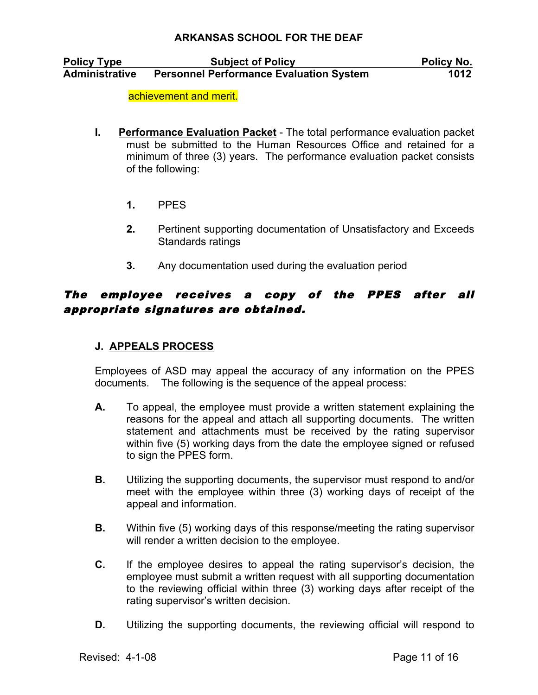| <b>Policy Type</b>    | <b>Subject of Policy</b>                       | Policy No. |
|-----------------------|------------------------------------------------|------------|
| <b>Administrative</b> | <b>Personnel Performance Evaluation System</b> | 1012       |

achievement and merit.

- **I. Performance Evaluation Packet** The total performance evaluation packet must be submitted to the Human Resources Office and retained for a minimum of three (3) years. The performance evaluation packet consists of the following:
	- **1.** PPES
	- **2.** Pertinent supporting documentation of Unsatisfactory and Exceeds Standards ratings
	- **3.** Any documentation used during the evaluation period

# The employee receives a copy of the PPES after all appropriate signatures are obtained.

# **J. APPEALS PROCESS**

Employees of ASD may appeal the accuracy of any information on the PPES documents. The following is the sequence of the appeal process:

- **A.** To appeal, the employee must provide a written statement explaining the reasons for the appeal and attach all supporting documents. The written statement and attachments must be received by the rating supervisor within five (5) working days from the date the employee signed or refused to sign the PPES form.
- **B.** Utilizing the supporting documents, the supervisor must respond to and/or meet with the employee within three (3) working days of receipt of the appeal and information.
- **B.** Within five (5) working days of this response/meeting the rating supervisor will render a written decision to the employee.
- **C.** If the employee desires to appeal the rating supervisor's decision, the employee must submit a written request with all supporting documentation to the reviewing official within three (3) working days after receipt of the rating supervisor's written decision.
- **D.** Utilizing the supporting documents, the reviewing official will respond to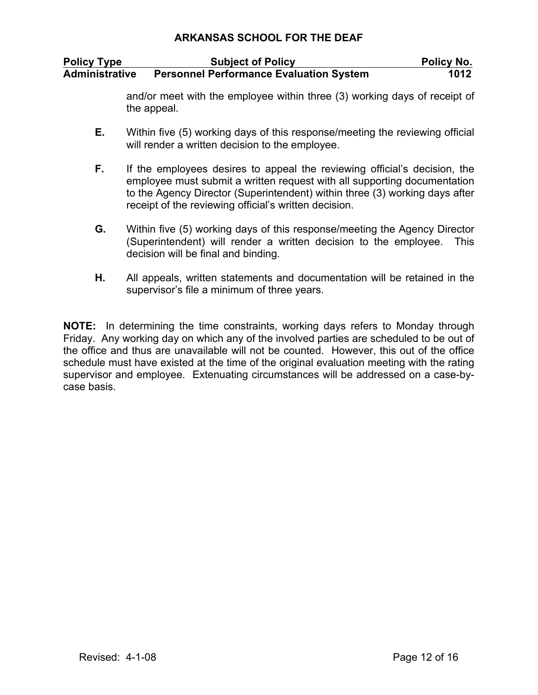| <b>Policy Type</b> | <b>Subject of Policy</b>                       | <b>Policy No.</b> |
|--------------------|------------------------------------------------|-------------------|
| Administrative     | <b>Personnel Performance Evaluation System</b> | 1012              |

and/or meet with the employee within three (3) working days of receipt of the appeal.

- **E.** Within five (5) working days of this response/meeting the reviewing official will render a written decision to the employee.
- **F.** If the employees desires to appeal the reviewing official's decision, the employee must submit a written request with all supporting documentation to the Agency Director (Superintendent) within three (3) working days after receipt of the reviewing official's written decision.
- **G.** Within five (5) working days of this response/meeting the Agency Director (Superintendent) will render a written decision to the employee. This decision will be final and binding.
- **H.** All appeals, written statements and documentation will be retained in the supervisor's file a minimum of three years.

**NOTE:** In determining the time constraints, working days refers to Monday through Friday. Any working day on which any of the involved parties are scheduled to be out of the office and thus are unavailable will not be counted. However, this out of the office schedule must have existed at the time of the original evaluation meeting with the rating supervisor and employee. Extenuating circumstances will be addressed on a case-bycase basis.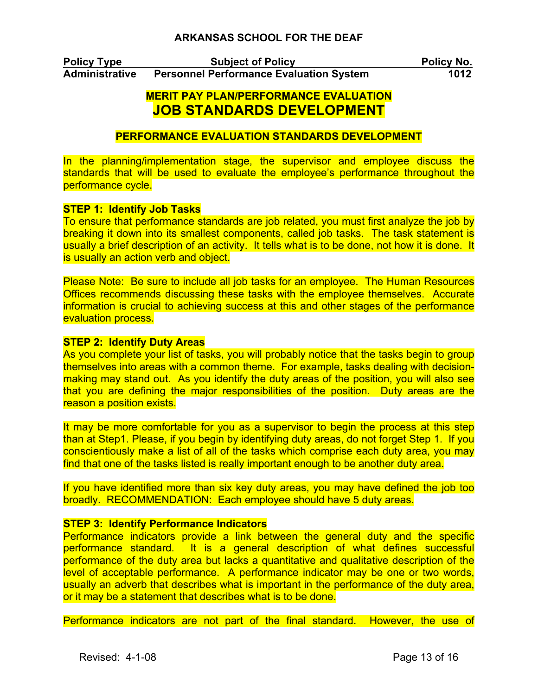**Policy Type Subject of Policy Policy No. Administrative Personnel Performance Evaluation System 1012**

# **MERIT PAY PLAN/PERFORMANCE EVALUATION JOB STANDARDS DEVELOPMENT**

## **PERFORMANCE EVALUATION STANDARDS DEVELOPMENT**

In the planning/implementation stage, the supervisor and employee discuss the standards that will be used to evaluate the employee's performance throughout the performance cycle.

#### **STEP 1: Identify Job Tasks**

To ensure that performance standards are job related, you must first analyze the job by breaking it down into its smallest components, called job tasks. The task statement is usually a brief description of an activity. It tells what is to be done, not how it is done. It is usually an action verb and object.

Please Note: Be sure to include all job tasks for an employee. The Human Resources Offices recommends discussing these tasks with the employee themselves. Accurate information is crucial to achieving success at this and other stages of the performance evaluation process.

### **STEP 2: Identify Duty Areas**

As you complete your list of tasks, you will probably notice that the tasks begin to group themselves into areas with a common theme. For example, tasks dealing with decisionmaking may stand out. As you identify the duty areas of the position, you will also see that you are defining the major responsibilities of the position. Duty areas are the reason a position exists.

It may be more comfortable for you as a supervisor to begin the process at this step than at Step1. Please, if you begin by identifying duty areas, do not forget Step 1. If you conscientiously make a list of all of the tasks which comprise each duty area, you may find that one of the tasks listed is really important enough to be another duty area.

If you have identified more than six key duty areas, you may have defined the job too broadly. RECOMMENDATION: Each employee should have 5 duty areas.

#### **STEP 3: Identify Performance Indicators**

Performance indicators provide a link between the general duty and the specific performance standard. It is a general description of what defines successful performance of the duty area but lacks a quantitative and qualitative description of the level of acceptable performance. A performance indicator may be one or two words, usually an adverb that describes what is important in the performance of the duty area, or it may be a statement that describes what is to be done.

Performance indicators are not part of the final standard. However, the use of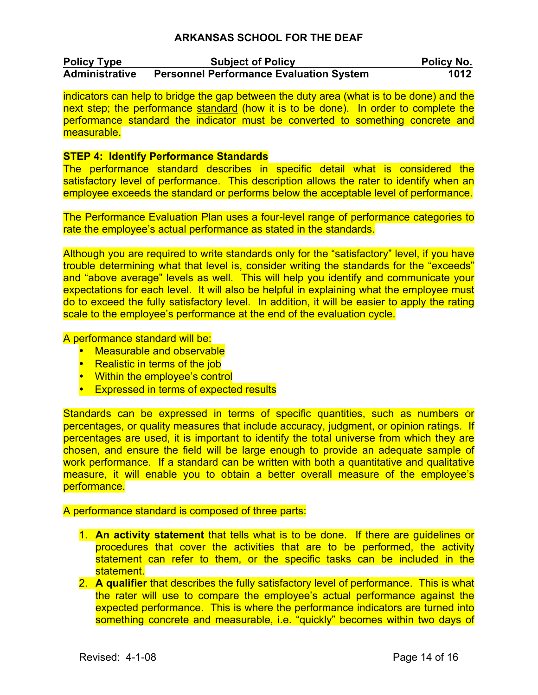| <b>Policy Type</b>    | <b>Subject of Policy</b>                       | <b>Policy No.</b> |
|-----------------------|------------------------------------------------|-------------------|
| <b>Administrative</b> | <b>Personnel Performance Evaluation System</b> | 1012              |

indicators can help to bridge the gap between the duty area (what is to be done) and the next step; the performance standard (how it is to be done). In order to complete the performance standard the indicator must be converted to something concrete and measurable.

#### **STEP 4: Identify Performance Standards**

The performance standard describes in specific detail what is considered the satisfactory level of performance. This description allows the rater to identify when an employee exceeds the standard or performs below the acceptable level of performance.

The Performance Evaluation Plan uses a four-level range of performance categories to rate the employee's actual performance as stated in the standards.

Although you are required to write standards only for the "satisfactory" level, if you have trouble determining what that level is, consider writing the standards for the "exceeds" and "above average" levels as well. This will help you identify and communicate your expectations for each level. It will also be helpful in explaining what the employee must do to exceed the fully satisfactory level. In addition, it will be easier to apply the rating scale to the employee's performance at the end of the evaluation cycle.

A performance standard will be:

- Measurable and observable
- Realistic in terms of the job
- Within the employee's control
- Expressed in terms of expected results

Standards can be expressed in terms of specific quantities, such as numbers or percentages, or quality measures that include accuracy, judgment, or opinion ratings. If percentages are used, it is important to identify the total universe from which they are chosen, and ensure the field will be large enough to provide an adequate sample of work performance. If a standard can be written with both a quantitative and qualitative measure, it will enable you to obtain a better overall measure of the employee's performance.

#### A performance standard is composed of three parts:

- 1. **An activity statement** that tells what is to be done. If there are guidelines or procedures that cover the activities that are to be performed, the activity statement can refer to them, or the specific tasks can be included in the statement.
- 2. **A qualifier** that describes the fully satisfactory level of performance. This is what the rater will use to compare the employee's actual performance against the expected performance. This is where the performance indicators are turned into something concrete and measurable, i.e. "quickly" becomes within two days of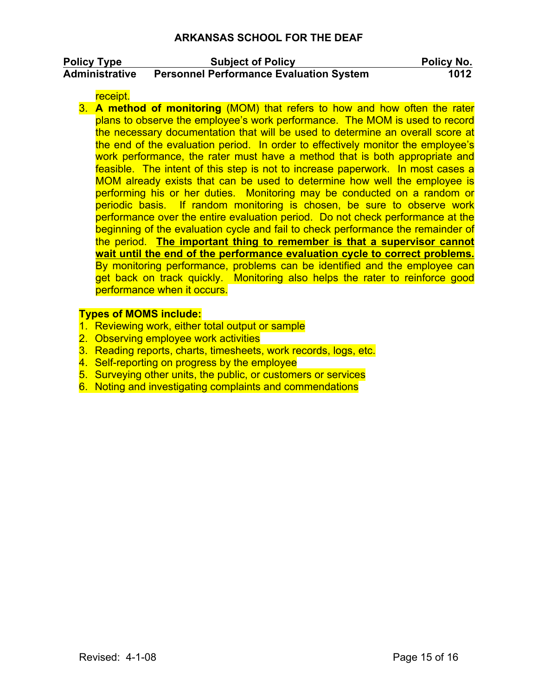| <b>Policy Type</b>    | <b>Subject of Policy</b>                       | Policy No. |
|-----------------------|------------------------------------------------|------------|
| <b>Administrative</b> | <b>Personnel Performance Evaluation System</b> | 1012       |

receipt.

3. **A method of monitoring** (MOM) that refers to how and how often the rater plans to observe the employee's work performance. The MOM is used to record the necessary documentation that will be used to determine an overall score at the end of the evaluation period. In order to effectively monitor the employee's work performance, the rater must have a method that is both appropriate and feasible. The intent of this step is not to increase paperwork. In most cases a MOM already exists that can be used to determine how well the employee is performing his or her duties. Monitoring may be conducted on a random or periodic basis. If random monitoring is chosen, be sure to observe work performance over the entire evaluation period. Do not check performance at the beginning of the evaluation cycle and fail to check performance the remainder of the period. **The important thing to remember is that a supervisor cannot wait until the end of the performance evaluation cycle to correct problems.** By monitoring performance, problems can be identified and the employee can get back on track quickly. Monitoring also helps the rater to reinforce good performance when it occurs.

#### **Types of MOMS include:**

- 1. Reviewing work, either total output or sample
- 2. Observing employee work activities
- 3. Reading reports, charts, timesheets, work records, logs, etc.
- 4. Self-reporting on progress by the employee
- 5. Surveying other units, the public, or customers or services
- 6. Noting and investigating complaints and commendations